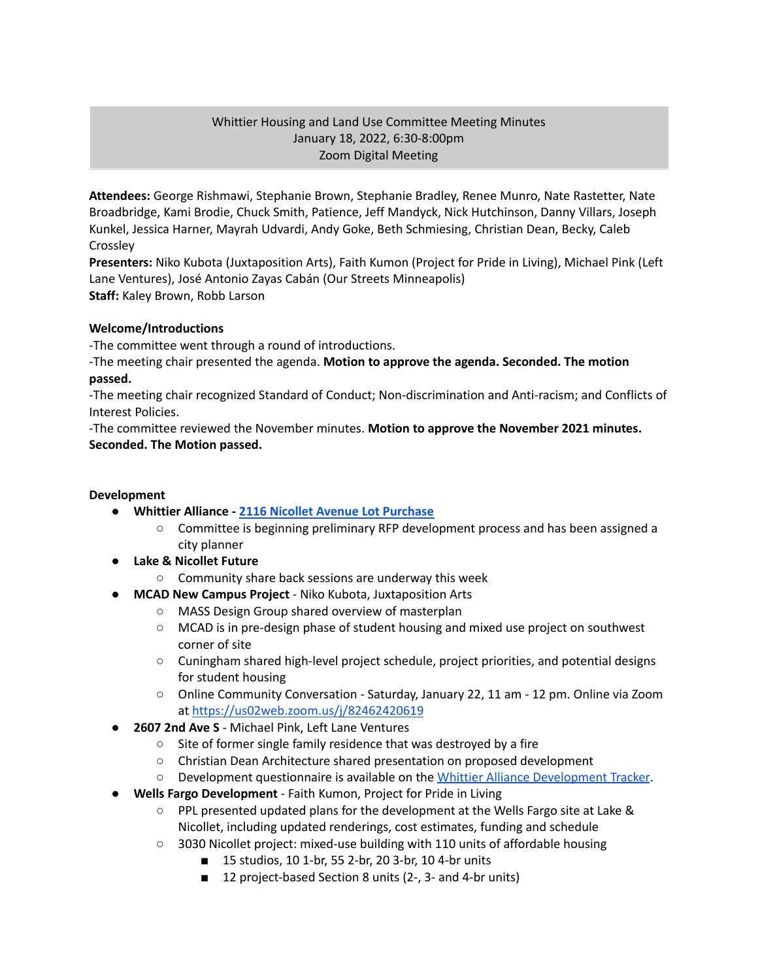# Whittier Housing and Land Use Committee Meeting Minutes January 18, 2022, 6:30-8:00pm Zoom Digital Meeting

**Attendees:** George Rishmawi, Stephanie Brown, Stephanie Bradley, Renee Munro, Nate Rastetter, Nate Broadbridge, Kami Brodie, Chuck Smith, Patience, Jeff Mandyck, Nick Hutchinson, Danny Villars, Joseph Kunkel, Jessica Harner, Mayrah Udvardi, Andy Goke, Beth Schmiesing, Christian Dean, Becky, Caleb **Crossley** 

**Presenters:** Niko Kubota (Juxtaposition Arts), Faith Kumon (Project for Pride in Living), Michael Pink (Left Lane Ventures), José Antonio Zayas Cabán (Our Streets Minneapolis) **Staff:** Kaley Brown, Robb Larson

# **Welcome/Introductions**

-The committee went through a round of introductions.

-The meeting chair presented the agenda. **Motion to approve the agenda. Seconded. The motion passed.**

-The meeting chair recognized Standard of Conduct; Non-discrimination and Anti-racism; and Conflicts of Interest Policies.

-The committee reviewed the November minutes. **Motion to approve the November 2021 minutes. Seconded. The Motion passed.**

## **Development**

- **● Whittier Alliance - 2116 Nicollet Avenue Lot [Purchase](https://www.whittieralliance.org/2116-nicollet-ave-vacant-lot.html)**
	- Committee is beginning preliminary RFP development process and has been assigned a city planner
- **● Lake & Nicollet Future**
	- Community share back sessions are underway this week
- **● MCAD New Campus Project** Niko Kubota, Juxtaposition Arts
	- MASS Design Group shared overview of masterplan
	- MCAD is in pre-design phase of student housing and mixed use project on southwest corner of site
	- Cuningham shared high-level project schedule, project priorities, and potential designs for student housing
	- Online Community Conversation Saturday, January 22, 11 am 12 pm. Online via Zoom at <https://us02web.zoom.us/j/82462420619>
- **2607 2nd Ave S** Michael Pink, Left Lane Ventures
	- Site of former single family residence that was destroyed by a fire
	- Christian Dean Architecture shared presentation on proposed development
	- Development questionnaire is available on the Whittier Alliance [Development](https://www.whittieralliance.org/development-tracker.html) Tracker.
- **● Wells Fargo Development** Faith Kumon, Project for Pride in Living
	- PPL presented updated plans for the development at the Wells Fargo site at Lake & Nicollet, including updated renderings, cost estimates, funding and schedule
	- 3030 Nicollet project: mixed-use building with 110 units of affordable housing
		- 15 studios, 10 1-br, 55 2-br, 20 3-br, 10 4-br units
		- 12 project-based Section 8 units (2-, 3- and 4-br units)